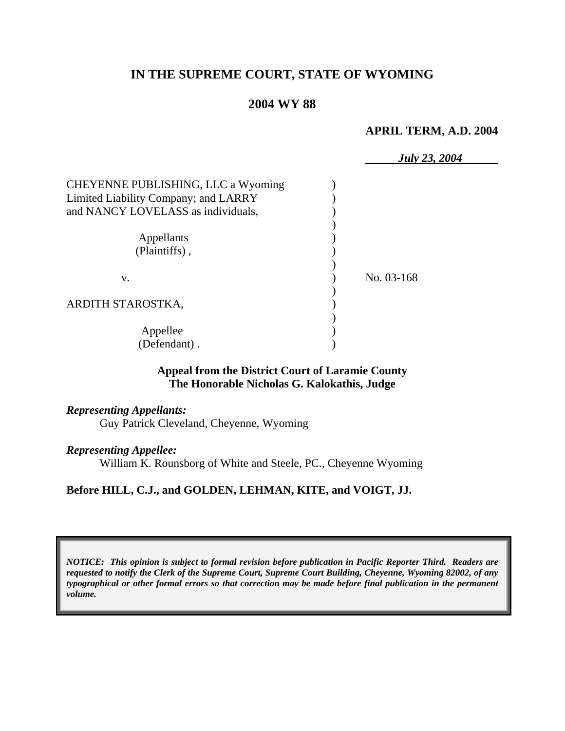# **IN THE SUPREME COURT, STATE OF WYOMING**

### **2004 WY 88**

#### **APRIL TERM, A.D. 2004**

|                                      | <b>July 23, 2004</b> |
|--------------------------------------|----------------------|
| CHEYENNE PUBLISHING, LLC a Wyoming   |                      |
| Limited Liability Company; and LARRY |                      |
| and NANCY LOVELASS as individuals,   |                      |
|                                      |                      |
| Appellants                           |                      |
| (Plaintiffs),                        |                      |
|                                      |                      |
| V.                                   | No. 03-168           |
|                                      |                      |
| ARDITH STAROSTKA,                    |                      |
|                                      |                      |
| Appellee                             |                      |
| (Defendant).                         |                      |

#### **Appeal from the District Court of Laramie County The Honorable Nicholas G. Kalokathis, Judge**

# *Representing Appellants:*

Guy Patrick Cleveland, Cheyenne, Wyoming

#### *Representing Appellee:*

William K. Rounsborg of White and Steele, PC., Cheyenne Wyoming

### **Before HILL, C.J., and GOLDEN, LEHMAN, KITE, and VOIGT, JJ.**

*NOTICE: This opinion is subject to formal revision before publication in Pacific Reporter Third. Readers are requested to notify the Clerk of the Supreme Court, Supreme Court Building, Cheyenne, Wyoming 82002, of any typographical or other formal errors so that correction may be made before final publication in the permanent volume.*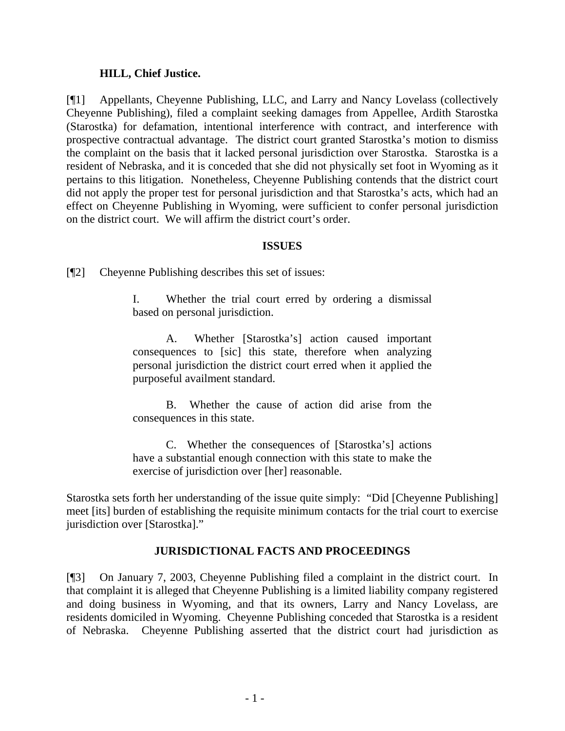### **HILL, Chief Justice.**

[¶1] Appellants, Cheyenne Publishing, LLC, and Larry and Nancy Lovelass (collectively Cheyenne Publishing), filed a complaint seeking damages from Appellee, Ardith Starostka (Starostka) for defamation, intentional interference with contract, and interference with prospective contractual advantage. The district court granted Starostka's motion to dismiss the complaint on the basis that it lacked personal jurisdiction over Starostka. Starostka is a resident of Nebraska, and it is conceded that she did not physically set foot in Wyoming as it pertains to this litigation. Nonetheless, Cheyenne Publishing contends that the district court did not apply the proper test for personal jurisdiction and that Starostka's acts, which had an effect on Cheyenne Publishing in Wyoming, were sufficient to confer personal jurisdiction on the district court. We will affirm the district court's order.

#### **ISSUES**

[¶2] Cheyenne Publishing describes this set of issues:

I. Whether the trial court erred by ordering a dismissal based on personal jurisdiction.

A. Whether [Starostka's] action caused important consequences to [sic] this state, therefore when analyzing personal jurisdiction the district court erred when it applied the purposeful availment standard.

B. Whether the cause of action did arise from the consequences in this state.

C. Whether the consequences of [Starostka's] actions have a substantial enough connection with this state to make the exercise of jurisdiction over [her] reasonable.

Starostka sets forth her understanding of the issue quite simply: "Did [Cheyenne Publishing] meet [its] burden of establishing the requisite minimum contacts for the trial court to exercise jurisdiction over [Starostka]."

### **JURISDICTIONAL FACTS AND PROCEEDINGS**

[¶3] On January 7, 2003, Cheyenne Publishing filed a complaint in the district court. In that complaint it is alleged that Cheyenne Publishing is a limited liability company registered and doing business in Wyoming, and that its owners, Larry and Nancy Lovelass, are residents domiciled in Wyoming. Cheyenne Publishing conceded that Starostka is a resident of Nebraska. Cheyenne Publishing asserted that the district court had jurisdiction as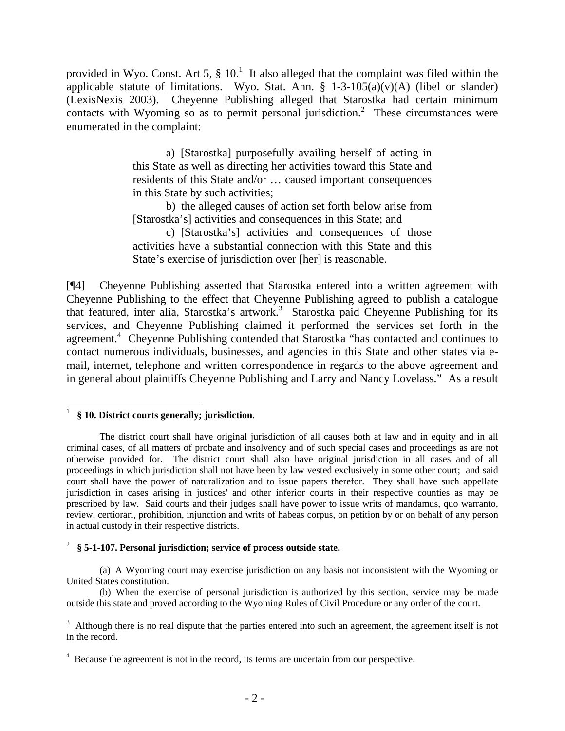provided in Wyo. Const. Art 5,  $\S$  10.<sup>1</sup> It also alleged that the complaint was filed within the applicable statute of limitations. Wyo. Stat. Ann.  $\S$  1-3-105(a)(v)(A) (libel or slander) (LexisNexis 2003). Cheyenne Publishing alleged that Starostka had certain minimum contacts with Wyoming so as to permit personal jurisdiction.<sup>2</sup> These circumstances were enumerated in the complaint:

> a) [Starostka] purposefully availing herself of acting in this State as well as directing her activities toward this State and residents of this State and/or … caused important consequences in this State by such activities;

> b) the alleged causes of action set forth below arise from [Starostka's] activities and consequences in this State; and

> c) [Starostka's] activities and consequences of those activities have a substantial connection with this State and this State's exercise of jurisdiction over [her] is reasonable.

[¶4] Cheyenne Publishing asserted that Starostka entered into a written agreement with Cheyenne Publishing to the effect that Cheyenne Publishing agreed to publish a catalogue that featured, inter alia, Starostka's artwork.<sup>3</sup> Starostka paid Cheyenne Publishing for its services, and Cheyenne Publishing claimed it performed the services set forth in the agreement.<sup>4</sup> Cheyenne Publishing contended that Starostka "has contacted and continues to contact numerous individuals, businesses, and agencies in this State and other states via email, internet, telephone and written correspondence in regards to the above agreement and in general about plaintiffs Cheyenne Publishing and Larry and Nancy Lovelass." As a result

#### 2 **§ 5-1-107. Personal jurisdiction; service of process outside state.**

(a) A Wyoming court may exercise jurisdiction on any basis not inconsistent with the Wyoming or United States constitution.

(b) When the exercise of personal jurisdiction is authorized by this section, service may be made outside this state and proved according to the Wyoming Rules of Civil Procedure or any order of the court.

 1 **§ 10. District courts generally; jurisdiction.**

The district court shall have original jurisdiction of all causes both at law and in equity and in all criminal cases, of all matters of probate and insolvency and of such special cases and proceedings as are not otherwise provided for. The district court shall also have original jurisdiction in all cases and of all proceedings in which jurisdiction shall not have been by law vested exclusively in some other court; and said court shall have the power of naturalization and to issue papers therefor. They shall have such appellate jurisdiction in cases arising in justices' and other inferior courts in their respective counties as may be prescribed by law. Said courts and their judges shall have power to issue writs of mandamus, quo warranto, review, certiorari, prohibition, injunction and writs of habeas corpus, on petition by or on behalf of any person in actual custody in their respective districts.

 $3$  Although there is no real dispute that the parties entered into such an agreement, the agreement itself is not in the record.

 $4$  Because the agreement is not in the record, its terms are uncertain from our perspective.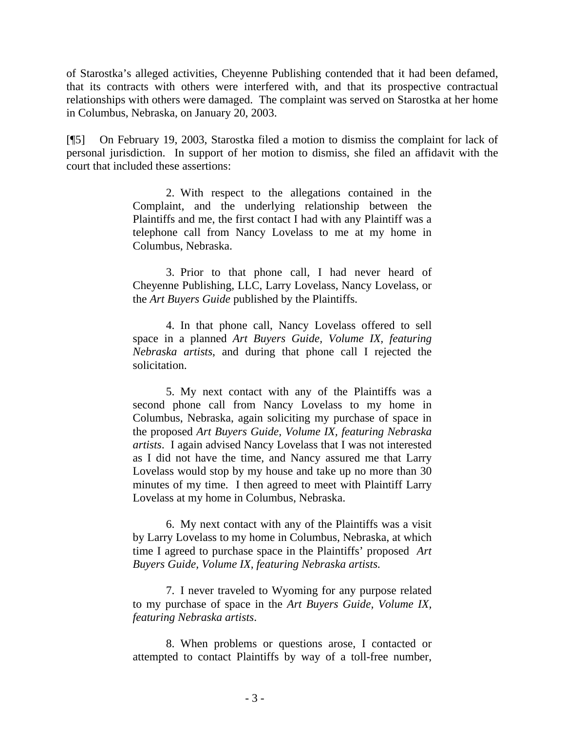of Starostka's alleged activities, Cheyenne Publishing contended that it had been defamed, that its contracts with others were interfered with, and that its prospective contractual relationships with others were damaged. The complaint was served on Starostka at her home in Columbus, Nebraska, on January 20, 2003.

[¶5] On February 19, 2003, Starostka filed a motion to dismiss the complaint for lack of personal jurisdiction. In support of her motion to dismiss, she filed an affidavit with the court that included these assertions:

> 2. With respect to the allegations contained in the Complaint, and the underlying relationship between the Plaintiffs and me, the first contact I had with any Plaintiff was a telephone call from Nancy Lovelass to me at my home in Columbus, Nebraska.

> 3. Prior to that phone call, I had never heard of Cheyenne Publishing, LLC, Larry Lovelass, Nancy Lovelass, or the *Art Buyers Guide* published by the Plaintiffs.

> 4. In that phone call, Nancy Lovelass offered to sell space in a planned *Art Buyers Guide, Volume IX, featuring Nebraska artists*, and during that phone call I rejected the solicitation.

> 5. My next contact with any of the Plaintiffs was a second phone call from Nancy Lovelass to my home in Columbus, Nebraska, again soliciting my purchase of space in the proposed *Art Buyers Guide, Volume IX, featuring Nebraska artists*. I again advised Nancy Lovelass that I was not interested as I did not have the time, and Nancy assured me that Larry Lovelass would stop by my house and take up no more than 30 minutes of my time. I then agreed to meet with Plaintiff Larry Lovelass at my home in Columbus, Nebraska.

> 6. My next contact with any of the Plaintiffs was a visit by Larry Lovelass to my home in Columbus, Nebraska, at which time I agreed to purchase space in the Plaintiffs' proposed *Art Buyers Guide, Volume IX, featuring Nebraska artists*.

> 7. I never traveled to Wyoming for any purpose related to my purchase of space in the *Art Buyers Guide, Volume IX, featuring Nebraska artists*.

> 8. When problems or questions arose, I contacted or attempted to contact Plaintiffs by way of a toll-free number,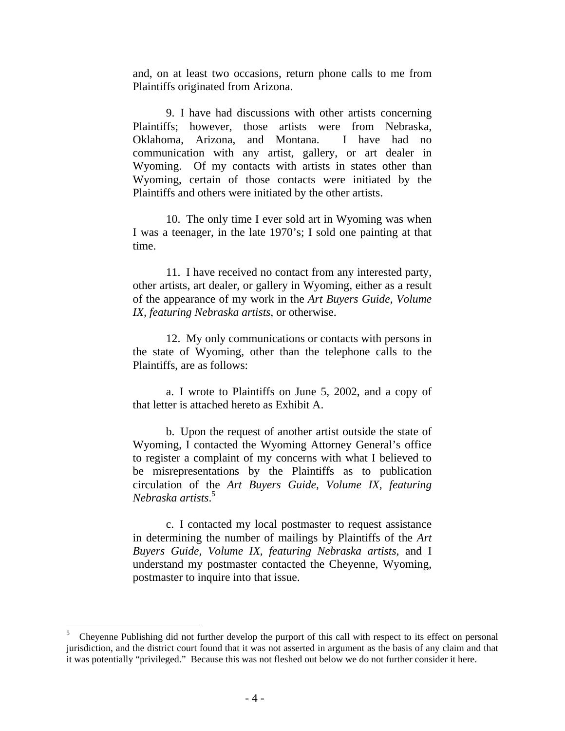and, on at least two occasions, return phone calls to me from Plaintiffs originated from Arizona.

9. I have had discussions with other artists concerning Plaintiffs; however, those artists were from Nebraska, Oklahoma, Arizona, and Montana. I have had no communication with any artist, gallery, or art dealer in Wyoming. Of my contacts with artists in states other than Wyoming, certain of those contacts were initiated by the Plaintiffs and others were initiated by the other artists.

10. The only time I ever sold art in Wyoming was when I was a teenager, in the late 1970's; I sold one painting at that time.

11. I have received no contact from any interested party, other artists, art dealer, or gallery in Wyoming, either as a result of the appearance of my work in the *Art Buyers Guide, Volume IX, featuring Nebraska artists*, or otherwise.

12. My only communications or contacts with persons in the state of Wyoming, other than the telephone calls to the Plaintiffs, are as follows:

a. I wrote to Plaintiffs on June 5, 2002, and a copy of that letter is attached hereto as Exhibit A.

b. Upon the request of another artist outside the state of Wyoming, I contacted the Wyoming Attorney General's office to register a complaint of my concerns with what I believed to be misrepresentations by the Plaintiffs as to publication circulation of the *Art Buyers Guide, Volume IX, featuring Nebraska artists*. 5

c. I contacted my local postmaster to request assistance in determining the number of mailings by Plaintiffs of the *Art Buyers Guide, Volume IX, featuring Nebraska artists*, and I understand my postmaster contacted the Cheyenne, Wyoming, postmaster to inquire into that issue.

<sup>5</sup> Cheyenne Publishing did not further develop the purport of this call with respect to its effect on personal jurisdiction, and the district court found that it was not asserted in argument as the basis of any claim and that it was potentially "privileged." Because this was not fleshed out below we do not further consider it here.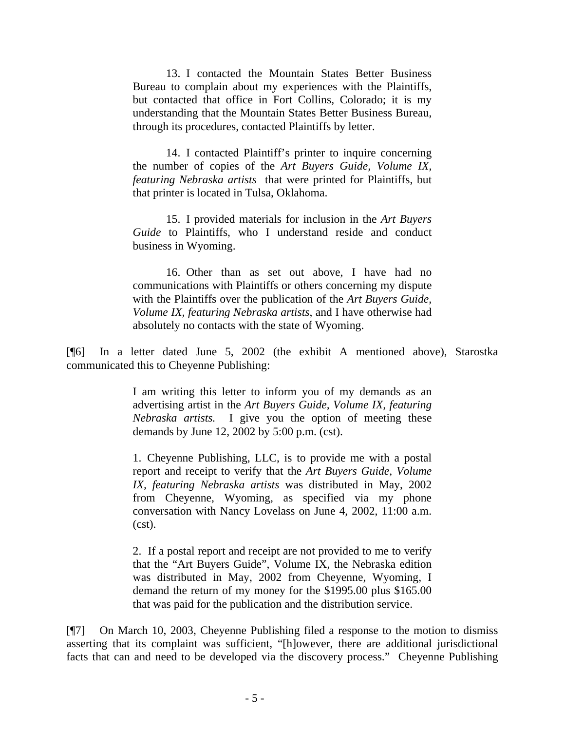13. I contacted the Mountain States Better Business Bureau to complain about my experiences with the Plaintiffs, but contacted that office in Fort Collins, Colorado; it is my understanding that the Mountain States Better Business Bureau, through its procedures, contacted Plaintiffs by letter.

14. I contacted Plaintiff's printer to inquire concerning the number of copies of the *Art Buyers Guide, Volume IX, featuring Nebraska artists* that were printed for Plaintiffs, but that printer is located in Tulsa, Oklahoma.

15. I provided materials for inclusion in the *Art Buyers Guide* to Plaintiffs, who I understand reside and conduct business in Wyoming.

16. Other than as set out above, I have had no communications with Plaintiffs or others concerning my dispute with the Plaintiffs over the publication of the *Art Buyers Guide, Volume IX, featuring Nebraska artists*, and I have otherwise had absolutely no contacts with the state of Wyoming.

[¶6] In a letter dated June 5, 2002 (the exhibit A mentioned above), Starostka communicated this to Cheyenne Publishing:

> I am writing this letter to inform you of my demands as an advertising artist in the *Art Buyers Guide, Volume IX, featuring Nebraska artists.* I give you the option of meeting these demands by June 12, 2002 by 5:00 p.m. (cst).

> 1. Cheyenne Publishing, LLC, is to provide me with a postal report and receipt to verify that the *Art Buyers Guide, Volume IX, featuring Nebraska artists* was distributed in May, 2002 from Cheyenne, Wyoming, as specified via my phone conversation with Nancy Lovelass on June 4, 2002, 11:00 a.m. (cst).

> 2. If a postal report and receipt are not provided to me to verify that the "Art Buyers Guide", Volume IX, the Nebraska edition was distributed in May, 2002 from Cheyenne, Wyoming, I demand the return of my money for the \$1995.00 plus \$165.00 that was paid for the publication and the distribution service.

[¶7] On March 10, 2003, Cheyenne Publishing filed a response to the motion to dismiss asserting that its complaint was sufficient, "[h]owever, there are additional jurisdictional facts that can and need to be developed via the discovery process." Cheyenne Publishing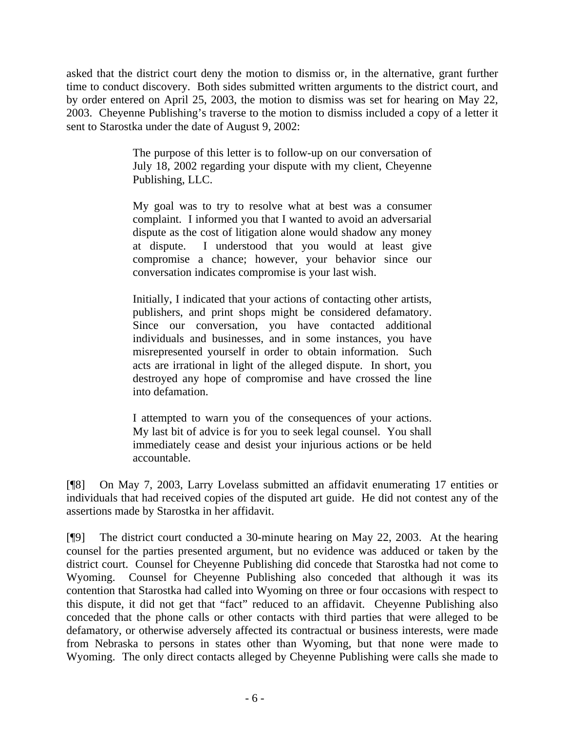asked that the district court deny the motion to dismiss or, in the alternative, grant further time to conduct discovery. Both sides submitted written arguments to the district court, and by order entered on April 25, 2003, the motion to dismiss was set for hearing on May 22, 2003. Cheyenne Publishing's traverse to the motion to dismiss included a copy of a letter it sent to Starostka under the date of August 9, 2002:

> The purpose of this letter is to follow-up on our conversation of July 18, 2002 regarding your dispute with my client, Cheyenne Publishing, LLC.

> My goal was to try to resolve what at best was a consumer complaint. I informed you that I wanted to avoid an adversarial dispute as the cost of litigation alone would shadow any money at dispute. I understood that you would at least give compromise a chance; however, your behavior since our conversation indicates compromise is your last wish.

> Initially, I indicated that your actions of contacting other artists, publishers, and print shops might be considered defamatory. Since our conversation, you have contacted additional individuals and businesses, and in some instances, you have misrepresented yourself in order to obtain information. Such acts are irrational in light of the alleged dispute. In short, you destroyed any hope of compromise and have crossed the line into defamation.

> I attempted to warn you of the consequences of your actions. My last bit of advice is for you to seek legal counsel. You shall immediately cease and desist your injurious actions or be held accountable.

[¶8] On May 7, 2003, Larry Lovelass submitted an affidavit enumerating 17 entities or individuals that had received copies of the disputed art guide. He did not contest any of the assertions made by Starostka in her affidavit.

[¶9] The district court conducted a 30-minute hearing on May 22, 2003. At the hearing counsel for the parties presented argument, but no evidence was adduced or taken by the district court. Counsel for Cheyenne Publishing did concede that Starostka had not come to Wyoming. Counsel for Cheyenne Publishing also conceded that although it was its contention that Starostka had called into Wyoming on three or four occasions with respect to this dispute, it did not get that "fact" reduced to an affidavit. Cheyenne Publishing also conceded that the phone calls or other contacts with third parties that were alleged to be defamatory, or otherwise adversely affected its contractual or business interests, were made from Nebraska to persons in states other than Wyoming, but that none were made to Wyoming. The only direct contacts alleged by Cheyenne Publishing were calls she made to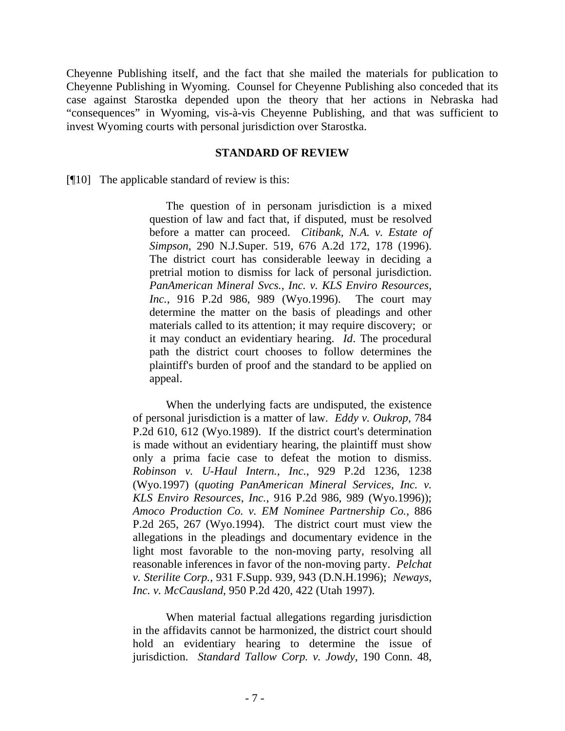Cheyenne Publishing itself, and the fact that she mailed the materials for publication to Cheyenne Publishing in Wyoming. Counsel for Cheyenne Publishing also conceded that its case against Starostka depended upon the theory that her actions in Nebraska had "consequences" in Wyoming, vis-à-vis Cheyenne Publishing, and that was sufficient to invest Wyoming courts with personal jurisdiction over Starostka.

#### **STANDARD OF REVIEW**

[¶10] The applicable standard of review is this:

The question of in personam jurisdiction is a mixed question of law and fact that, if disputed, must be resolved before a matter can proceed. *Citibank, N.A. v. Estate of Simpson*, 290 N.J.Super. 519, 676 A.2d 172, 178 (1996). The district court has considerable leeway in deciding a pretrial motion to dismiss for lack of personal jurisdiction. *PanAmerican Mineral Svcs., Inc. v. KLS Enviro Resources, Inc.*, 916 P.2d 986, 989 (Wyo.1996). The court may determine the matter on the basis of pleadings and other materials called to its attention; it may require discovery; or it may conduct an evidentiary hearing. *Id*. The procedural path the district court chooses to follow determines the plaintiff's burden of proof and the standard to be applied on appeal.

When the underlying facts are undisputed, the existence of personal jurisdiction is a matter of law. *Eddy v. Oukrop*, 784 P.2d 610, 612 (Wyo.1989). If the district court's determination is made without an evidentiary hearing, the plaintiff must show only a prima facie case to defeat the motion to dismiss. *Robinson v. U-Haul Intern., Inc.*, 929 P.2d 1236, 1238 (Wyo.1997) (*quoting PanAmerican Mineral Services, Inc. v. KLS Enviro Resources*, *Inc.*, 916 P.2d 986, 989 (Wyo.1996)); *Amoco Production Co. v. EM Nominee Partnership Co.*, 886 P.2d 265, 267 (Wyo.1994). The district court must view the allegations in the pleadings and documentary evidence in the light most favorable to the non-moving party, resolving all reasonable inferences in favor of the non-moving party. *Pelchat v. Sterilite Corp.*, 931 F.Supp. 939, 943 (D.N.H.1996); *Neways, Inc. v. McCausland*, 950 P.2d 420, 422 (Utah 1997).

When material factual allegations regarding jurisdiction in the affidavits cannot be harmonized, the district court should hold an evidentiary hearing to determine the issue of jurisdiction. *Standard Tallow Corp. v. Jowdy*, 190 Conn. 48,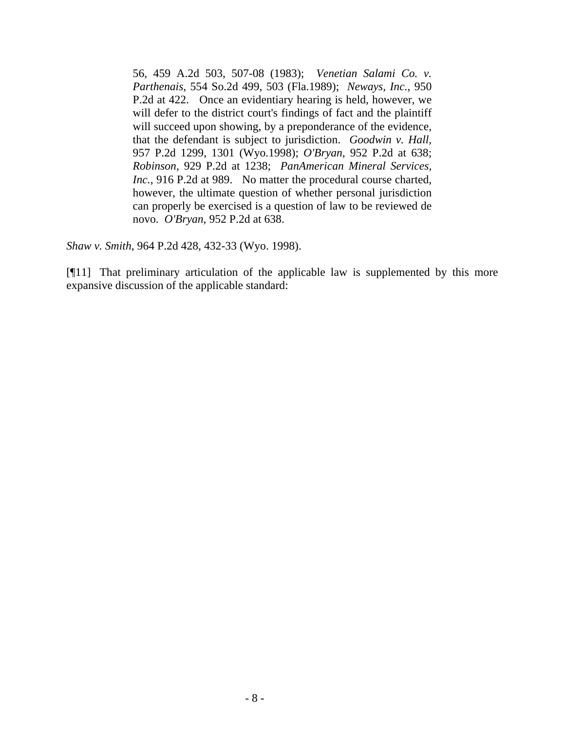56, 459 A.2d 503, 507-08 (1983); *Venetian Salami Co. v. Parthenais*, 554 So.2d 499, 503 (Fla.1989); *Neways, Inc.*, 950 P.2d at 422. Once an evidentiary hearing is held, however, we will defer to the district court's findings of fact and the plaintiff will succeed upon showing, by a preponderance of the evidence, that the defendant is subject to jurisdiction. *Goodwin v. Hall*, 957 P.2d 1299, 1301 (Wyo.1998); *O'Bryan*, 952 P.2d at 638; *Robinson*, 929 P.2d at 1238; *PanAmerican Mineral Services, Inc.*, 916 P.2d at 989. No matter the procedural course charted, however, the ultimate question of whether personal jurisdiction can properly be exercised is a question of law to be reviewed de novo. *O'Bryan*, 952 P.2d at 638.

*Shaw v. Smith*, 964 P.2d 428, 432-33 (Wyo. 1998).

[¶11] That preliminary articulation of the applicable law is supplemented by this more expansive discussion of the applicable standard: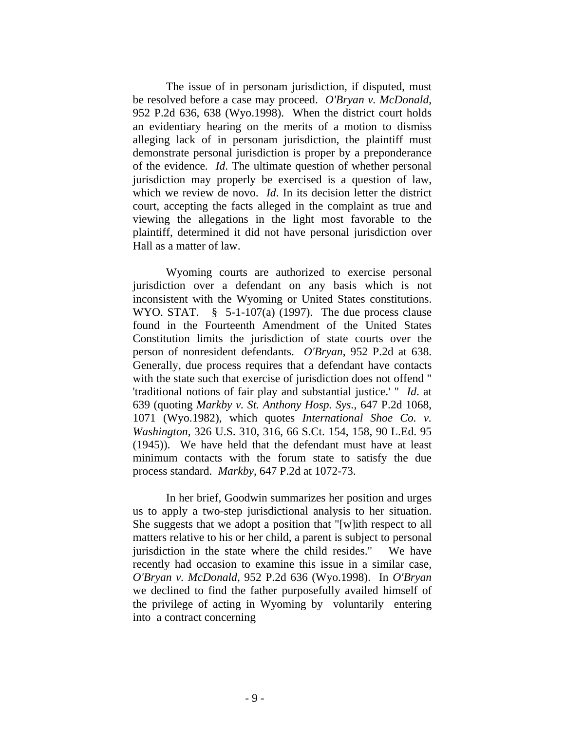The issue of in personam jurisdiction, if disputed, must be resolved before a case may proceed. *O'Bryan v. McDonald*, 952 P.2d 636, 638 (Wyo.1998). When the district court holds an evidentiary hearing on the merits of a motion to dismiss alleging lack of in personam jurisdiction, the plaintiff must demonstrate personal jurisdiction is proper by a preponderance of the evidence. *Id*. The ultimate question of whether personal jurisdiction may properly be exercised is a question of law, which we review de novo. *Id*. In its decision letter the district court, accepting the facts alleged in the complaint as true and viewing the allegations in the light most favorable to the plaintiff, determined it did not have personal jurisdiction over Hall as a matter of law.

Wyoming courts are authorized to exercise personal jurisdiction over a defendant on any basis which is not inconsistent with the Wyoming or United States constitutions. WYO. STAT.  $\S$  5-1-107(a) (1997). The due process clause found in the Fourteenth Amendment of the United States Constitution limits the jurisdiction of state courts over the person of nonresident defendants. *O'Bryan*, 952 P.2d at 638. Generally, due process requires that a defendant have contacts with the state such that exercise of jurisdiction does not offend " 'traditional notions of fair play and substantial justice.' " *Id*. at 639 (quoting *Markby v. St. Anthony Hosp. Sys.*, 647 P.2d 1068, 1071 (Wyo.1982), which quotes *International Shoe Co. v. Washington*, 326 U.S. 310, 316, 66 S.Ct. 154, 158, 90 L.Ed. 95 (1945)). We have held that the defendant must have at least minimum contacts with the forum state to satisfy the due process standard. *Markby*, 647 P.2d at 1072-73.

In her brief, Goodwin summarizes her position and urges us to apply a two-step jurisdictional analysis to her situation. She suggests that we adopt a position that "[w]ith respect to all matters relative to his or her child, a parent is subject to personal jurisdiction in the state where the child resides." We have recently had occasion to examine this issue in a similar case, *O'Bryan v. McDonald*, 952 P.2d 636 (Wyo.1998). In *O'Bryan* we declined to find the father purposefully availed himself of the privilege of acting in Wyoming by voluntarily entering into a contract concerning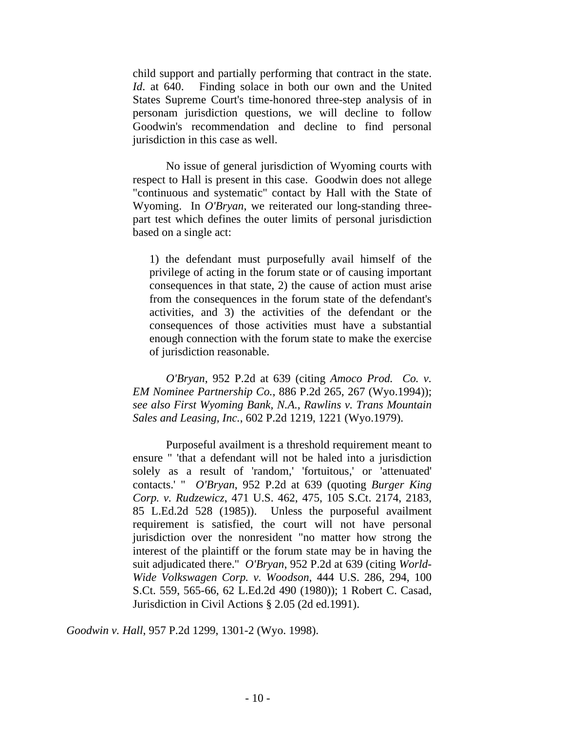child support and partially performing that contract in the state. *Id*. at 640. Finding solace in both our own and the United States Supreme Court's time-honored three-step analysis of in personam jurisdiction questions, we will decline to follow Goodwin's recommendation and decline to find personal jurisdiction in this case as well.

No issue of general jurisdiction of Wyoming courts with respect to Hall is present in this case. Goodwin does not allege "continuous and systematic" contact by Hall with the State of Wyoming. In *O'Bryan*, we reiterated our long-standing threepart test which defines the outer limits of personal jurisdiction based on a single act:

1) the defendant must purposefully avail himself of the privilege of acting in the forum state or of causing important consequences in that state, 2) the cause of action must arise from the consequences in the forum state of the defendant's activities, and 3) the activities of the defendant or the consequences of those activities must have a substantial enough connection with the forum state to make the exercise of jurisdiction reasonable.

*O'Bryan*, 952 P.2d at 639 (citing *Amoco Prod. Co. v. EM Nominee Partnership Co.*, 886 P.2d 265, 267 (Wyo.1994)); *see also First Wyoming Bank, N.A., Rawlins v. Trans Mountain Sales and Leasing, Inc.*, 602 P.2d 1219, 1221 (Wyo.1979).

Purposeful availment is a threshold requirement meant to ensure " 'that a defendant will not be haled into a jurisdiction solely as a result of 'random,' 'fortuitous,' or 'attenuated' contacts.' " *O'Bryan*, 952 P.2d at 639 (quoting *Burger King Corp. v. Rudzewicz*, 471 U.S. 462, 475, 105 S.Ct. 2174, 2183, 85 L.Ed.2d 528 (1985)). Unless the purposeful availment requirement is satisfied, the court will not have personal jurisdiction over the nonresident "no matter how strong the interest of the plaintiff or the forum state may be in having the suit adjudicated there." *O'Bryan*, 952 P.2d at 639 (citing *World-Wide Volkswagen Corp. v. Woodson*, 444 U.S. 286, 294, 100 S.Ct. 559, 565-66, 62 L.Ed.2d 490 (1980)); 1 Robert C. Casad, Jurisdiction in Civil Actions § 2.05 (2d ed.1991).

*Goodwin v. Hall*, 957 P.2d 1299, 1301-2 (Wyo. 1998).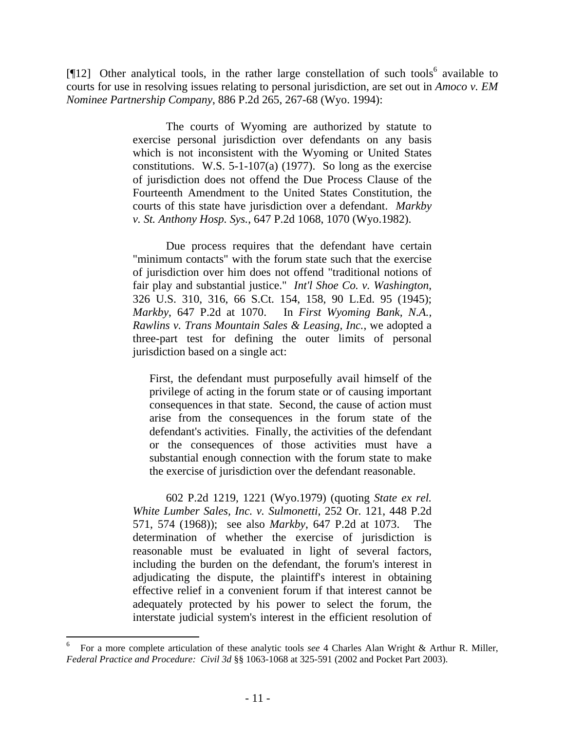[ $[12]$  Other analytical tools, in the rather large constellation of such tools<sup>6</sup> available to courts for use in resolving issues relating to personal jurisdiction, are set out in *Amoco v. EM Nominee Partnership Company*, 886 P.2d 265, 267-68 (Wyo. 1994):

> The courts of Wyoming are authorized by statute to exercise personal jurisdiction over defendants on any basis which is not inconsistent with the Wyoming or United States constitutions. W.S. 5-1-107(a) (1977). So long as the exercise of jurisdiction does not offend the Due Process Clause of the Fourteenth Amendment to the United States Constitution, the courts of this state have jurisdiction over a defendant. *Markby v. St. Anthony Hosp. Sys.*, 647 P.2d 1068, 1070 (Wyo.1982).

> Due process requires that the defendant have certain "minimum contacts" with the forum state such that the exercise of jurisdiction over him does not offend "traditional notions of fair play and substantial justice." *Int'l Shoe Co. v. Washington*, 326 U.S. 310, 316, 66 S.Ct. 154, 158, 90 L.Ed. 95 (1945); *Markby*, 647 P.2d at 1070. In *First Wyoming Bank, N.A., Rawlins v. Trans Mountain Sales & Leasing, Inc.*, we adopted a three-part test for defining the outer limits of personal jurisdiction based on a single act:

First, the defendant must purposefully avail himself of the privilege of acting in the forum state or of causing important consequences in that state. Second, the cause of action must arise from the consequences in the forum state of the defendant's activities. Finally, the activities of the defendant or the consequences of those activities must have a substantial enough connection with the forum state to make the exercise of jurisdiction over the defendant reasonable.

602 P.2d 1219, 1221 (Wyo.1979) (quoting *State ex rel. White Lumber Sales, Inc. v. Sulmonetti*, 252 Or. 121, 448 P.2d 571, 574 (1968)); see also *Markby*, 647 P.2d at 1073. The determination of whether the exercise of jurisdiction is reasonable must be evaluated in light of several factors, including the burden on the defendant, the forum's interest in adjudicating the dispute, the plaintiff's interest in obtaining effective relief in a convenient forum if that interest cannot be adequately protected by his power to select the forum, the interstate judicial system's interest in the efficient resolution of

<sup>6</sup> For a more complete articulation of these analytic tools *see* 4 Charles Alan Wright & Arthur R. Miller, *Federal Practice and Procedure: Civil 3d* §§ 1063-1068 at 325-591 (2002 and Pocket Part 2003).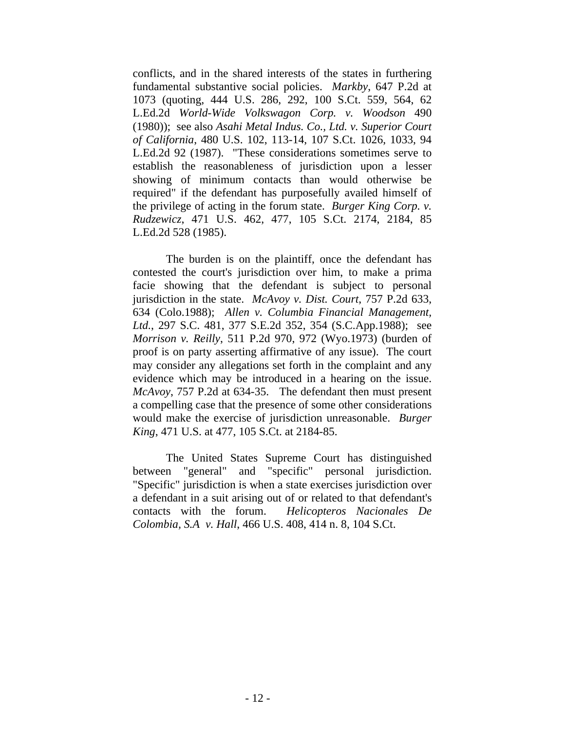conflicts, and in the shared interests of the states in furthering fundamental substantive social policies. *Markby*, 647 P.2d at 1073 (quoting, 444 U.S. 286, 292, 100 S.Ct. 559, 564, 62 L.Ed.2d *World-Wide Volkswagon Corp. v. Woodson* 490 (1980)); see also *Asahi Metal Indus. Co., Ltd. v. Superior Court of California*, 480 U.S. 102, 113-14, 107 S.Ct. 1026, 1033, 94 L.Ed.2d 92 (1987). "These considerations sometimes serve to establish the reasonableness of jurisdiction upon a lesser showing of minimum contacts than would otherwise be required" if the defendant has purposefully availed himself of the privilege of acting in the forum state. *Burger King Corp. v. Rudzewicz*, 471 U.S. 462, 477, 105 S.Ct. 2174, 2184, 85 L.Ed.2d 528 (1985).

The burden is on the plaintiff, once the defendant has contested the court's jurisdiction over him, to make a prima facie showing that the defendant is subject to personal jurisdiction in the state. *McAvoy v. Dist. Court*, 757 P.2d 633, 634 (Colo.1988); *Allen v. Columbia Financial Management, Ltd.*, 297 S.C. 481, 377 S.E.2d 352, 354 (S.C.App.1988); see *Morrison v. Reilly*, 511 P.2d 970, 972 (Wyo.1973) (burden of proof is on party asserting affirmative of any issue). The court may consider any allegations set forth in the complaint and any evidence which may be introduced in a hearing on the issue. *McAvoy*, 757 P.2d at 634-35. The defendant then must present a compelling case that the presence of some other considerations would make the exercise of jurisdiction unreasonable. *Burger King*, 471 U.S. at 477, 105 S.Ct. at 2184-85.

The United States Supreme Court has distinguished between "general" and "specific" personal jurisdiction. "Specific" jurisdiction is when a state exercises jurisdiction over a defendant in a suit arising out of or related to that defendant's contacts with the forum. *Helicopteros Nacionales De Colombia, S.A v. Hall*, 466 U.S. 408, 414 n. 8, 104 S.Ct.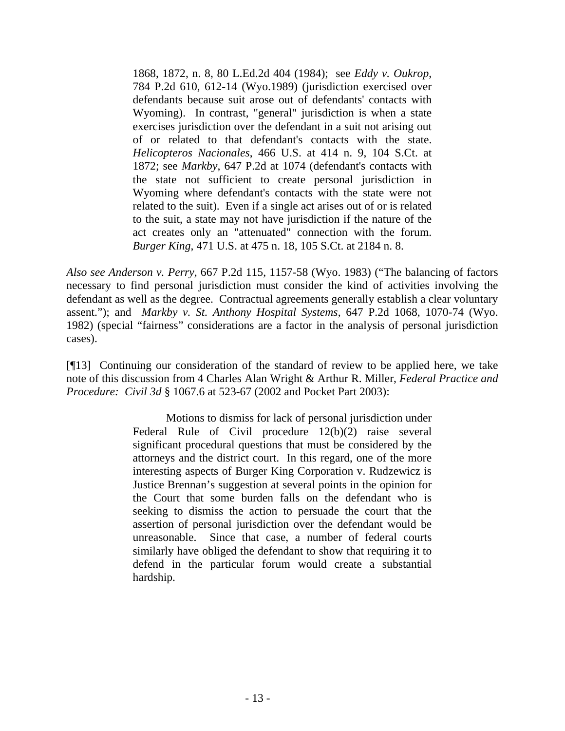1868, 1872, n. 8, 80 L.Ed.2d 404 (1984); see *Eddy v. Oukrop*, 784 P.2d 610, 612-14 (Wyo.1989) (jurisdiction exercised over defendants because suit arose out of defendants' contacts with Wyoming). In contrast, "general" jurisdiction is when a state exercises jurisdiction over the defendant in a suit not arising out of or related to that defendant's contacts with the state. *Helicopteros Nacionales*, 466 U.S. at 414 n. 9, 104 S.Ct. at 1872; see *Markby*, 647 P.2d at 1074 (defendant's contacts with the state not sufficient to create personal jurisdiction in Wyoming where defendant's contacts with the state were not related to the suit). Even if a single act arises out of or is related to the suit, a state may not have jurisdiction if the nature of the act creates only an "attenuated" connection with the forum. *Burger King*, 471 U.S. at 475 n. 18, 105 S.Ct. at 2184 n. 8.

*Also see Anderson v. Perry*, 667 P.2d 115, 1157-58 (Wyo. 1983) ("The balancing of factors necessary to find personal jurisdiction must consider the kind of activities involving the defendant as well as the degree. Contractual agreements generally establish a clear voluntary assent."); and *Markby v. St. Anthony Hospital Systems*, 647 P.2d 1068, 1070-74 (Wyo. 1982) (special "fairness" considerations are a factor in the analysis of personal jurisdiction cases).

[¶13] Continuing our consideration of the standard of review to be applied here, we take note of this discussion from 4 Charles Alan Wright & Arthur R. Miller, *Federal Practice and Procedure: Civil 3d* § 1067.6 at 523-67 (2002 and Pocket Part 2003):

> Motions to dismiss for lack of personal jurisdiction under Federal Rule of Civil procedure 12(b)(2) raise several significant procedural questions that must be considered by the attorneys and the district court. In this regard, one of the more interesting aspects of Burger King Corporation v. Rudzewicz is Justice Brennan's suggestion at several points in the opinion for the Court that some burden falls on the defendant who is seeking to dismiss the action to persuade the court that the assertion of personal jurisdiction over the defendant would be unreasonable. Since that case, a number of federal courts similarly have obliged the defendant to show that requiring it to defend in the particular forum would create a substantial hardship.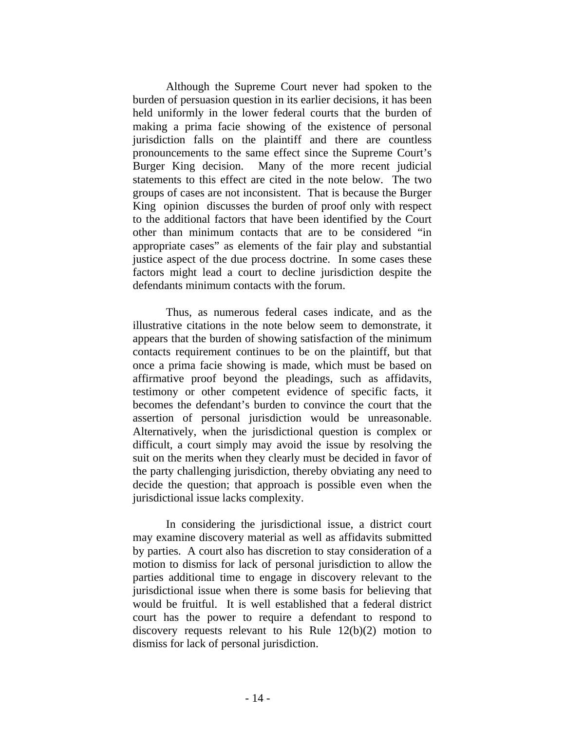Although the Supreme Court never had spoken to the burden of persuasion question in its earlier decisions, it has been held uniformly in the lower federal courts that the burden of making a prima facie showing of the existence of personal jurisdiction falls on the plaintiff and there are countless pronouncements to the same effect since the Supreme Court's Burger King decision. Many of the more recent judicial statements to this effect are cited in the note below. The two groups of cases are not inconsistent. That is because the Burger King opinion discusses the burden of proof only with respect to the additional factors that have been identified by the Court other than minimum contacts that are to be considered "in appropriate cases" as elements of the fair play and substantial justice aspect of the due process doctrine. In some cases these factors might lead a court to decline jurisdiction despite the defendants minimum contacts with the forum.

Thus, as numerous federal cases indicate, and as the illustrative citations in the note below seem to demonstrate, it appears that the burden of showing satisfaction of the minimum contacts requirement continues to be on the plaintiff, but that once a prima facie showing is made, which must be based on affirmative proof beyond the pleadings, such as affidavits, testimony or other competent evidence of specific facts, it becomes the defendant's burden to convince the court that the assertion of personal jurisdiction would be unreasonable. Alternatively, when the jurisdictional question is complex or difficult, a court simply may avoid the issue by resolving the suit on the merits when they clearly must be decided in favor of the party challenging jurisdiction, thereby obviating any need to decide the question; that approach is possible even when the jurisdictional issue lacks complexity.

In considering the jurisdictional issue, a district court may examine discovery material as well as affidavits submitted by parties. A court also has discretion to stay consideration of a motion to dismiss for lack of personal jurisdiction to allow the parties additional time to engage in discovery relevant to the jurisdictional issue when there is some basis for believing that would be fruitful. It is well established that a federal district court has the power to require a defendant to respond to discovery requests relevant to his Rule 12(b)(2) motion to dismiss for lack of personal jurisdiction.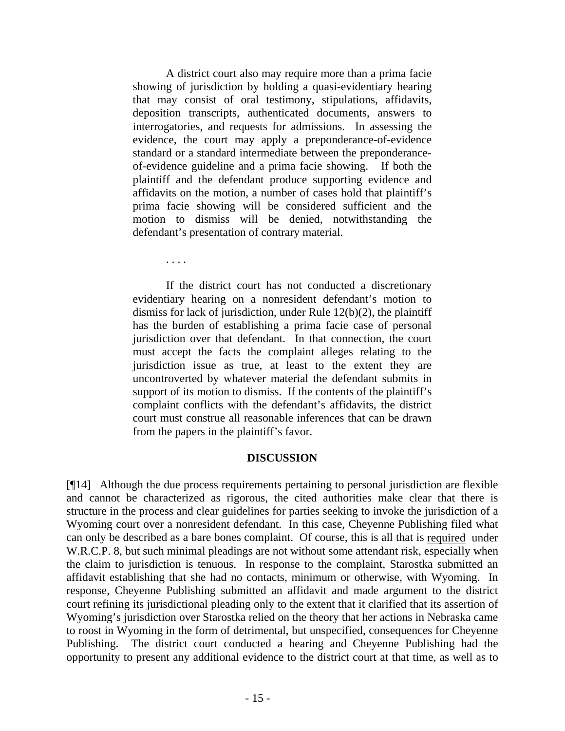A district court also may require more than a prima facie showing of jurisdiction by holding a quasi-evidentiary hearing that may consist of oral testimony, stipulations, affidavits, deposition transcripts, authenticated documents, answers to interrogatories, and requests for admissions. In assessing the evidence, the court may apply a preponderance-of-evidence standard or a standard intermediate between the preponderanceof-evidence guideline and a prima facie showing. If both the plaintiff and the defendant produce supporting evidence and affidavits on the motion, a number of cases hold that plaintiff's prima facie showing will be considered sufficient and the motion to dismiss will be denied, notwithstanding the defendant's presentation of contrary material.

. . . .

If the district court has not conducted a discretionary evidentiary hearing on a nonresident defendant's motion to dismiss for lack of jurisdiction, under Rule 12(b)(2), the plaintiff has the burden of establishing a prima facie case of personal jurisdiction over that defendant. In that connection, the court must accept the facts the complaint alleges relating to the jurisdiction issue as true, at least to the extent they are uncontroverted by whatever material the defendant submits in support of its motion to dismiss. If the contents of the plaintiff's complaint conflicts with the defendant's affidavits, the district court must construe all reasonable inferences that can be drawn from the papers in the plaintiff's favor.

#### **DISCUSSION**

[¶14] Although the due process requirements pertaining to personal jurisdiction are flexible and cannot be characterized as rigorous, the cited authorities make clear that there is structure in the process and clear guidelines for parties seeking to invoke the jurisdiction of a Wyoming court over a nonresident defendant. In this case, Cheyenne Publishing filed what can only be described as a bare bones complaint. Of course, this is all that is required under W.R.C.P. 8, but such minimal pleadings are not without some attendant risk, especially when the claim to jurisdiction is tenuous. In response to the complaint, Starostka submitted an affidavit establishing that she had no contacts, minimum or otherwise, with Wyoming. In response, Cheyenne Publishing submitted an affidavit and made argument to the district court refining its jurisdictional pleading only to the extent that it clarified that its assertion of Wyoming's jurisdiction over Starostka relied on the theory that her actions in Nebraska came to roost in Wyoming in the form of detrimental, but unspecified, consequences for Cheyenne Publishing. The district court conducted a hearing and Cheyenne Publishing had the opportunity to present any additional evidence to the district court at that time, as well as to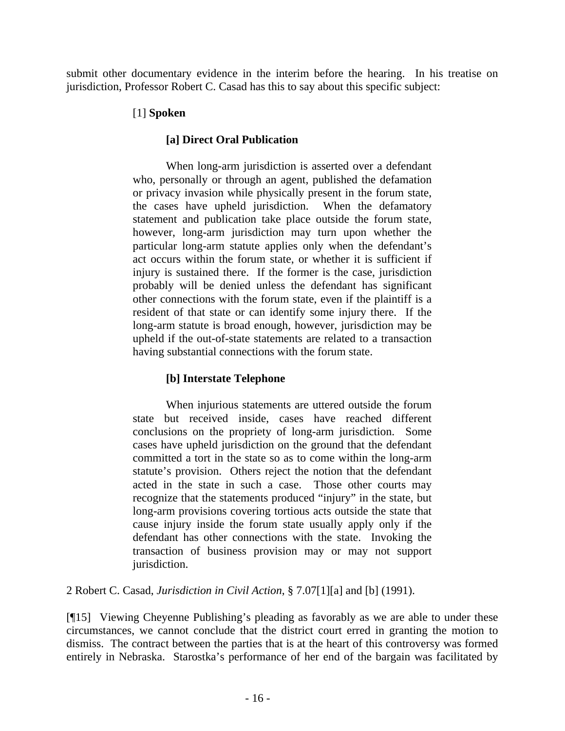submit other documentary evidence in the interim before the hearing. In his treatise on jurisdiction, Professor Robert C. Casad has this to say about this specific subject:

# [1] **Spoken**

# **[a] Direct Oral Publication**

When long-arm jurisdiction is asserted over a defendant who, personally or through an agent, published the defamation or privacy invasion while physically present in the forum state, the cases have upheld jurisdiction. When the defamatory statement and publication take place outside the forum state, however, long-arm jurisdiction may turn upon whether the particular long-arm statute applies only when the defendant's act occurs within the forum state, or whether it is sufficient if injury is sustained there. If the former is the case, jurisdiction probably will be denied unless the defendant has significant other connections with the forum state, even if the plaintiff is a resident of that state or can identify some injury there. If the long-arm statute is broad enough, however, jurisdiction may be upheld if the out-of-state statements are related to a transaction having substantial connections with the forum state.

# **[b] Interstate Telephone**

When injurious statements are uttered outside the forum state but received inside, cases have reached different conclusions on the propriety of long-arm jurisdiction. Some cases have upheld jurisdiction on the ground that the defendant committed a tort in the state so as to come within the long-arm statute's provision. Others reject the notion that the defendant acted in the state in such a case. Those other courts may recognize that the statements produced "injury" in the state, but long-arm provisions covering tortious acts outside the state that cause injury inside the forum state usually apply only if the defendant has other connections with the state. Invoking the transaction of business provision may or may not support jurisdiction.

2 Robert C. Casad, *Jurisdiction in Civil Action*, § 7.07[1][a] and [b] (1991).

[¶15] Viewing Cheyenne Publishing's pleading as favorably as we are able to under these circumstances, we cannot conclude that the district court erred in granting the motion to dismiss. The contract between the parties that is at the heart of this controversy was formed entirely in Nebraska. Starostka's performance of her end of the bargain was facilitated by